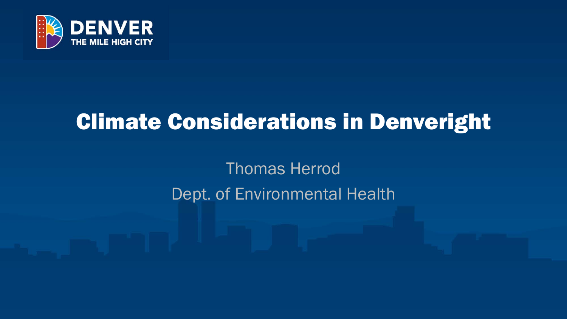

# Climate Considerations in Denveright

Thomas Herrod Dept. of Environmental Health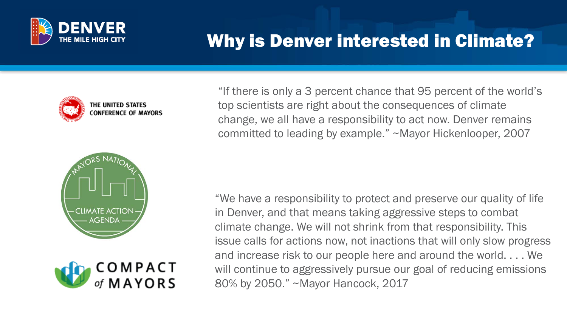

# Why is Denver interested in Climate?







"If there is only a 3 percent chance that 95 percent of the world's top scientists are right about the consequences of climate change, we all have a responsibility to act now. Denver remains committed to leading by example." ~Mayor Hickenlooper, 2007

"We have a responsibility to protect and preserve our quality of life in Denver, and that means taking aggressive steps to combat climate change. We will not shrink from that responsibility. This issue calls for actions now, not inactions that will only slow progress and increase risk to our people here and around the world. . . . We will continue to aggressively pursue our goal of reducing emissions 80% by 2050." ~Mayor Hancock, 2017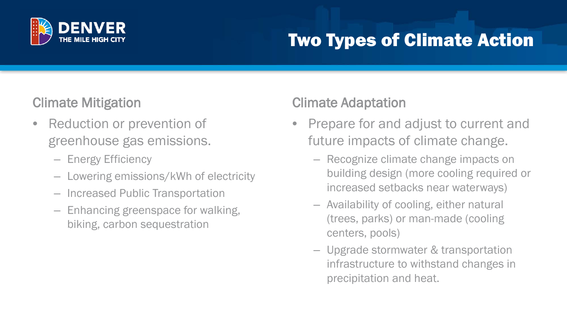

# Two Types of Climate Action

#### Climate Mitigation

- Reduction or prevention of greenhouse gas emissions.
	- Energy Efficiency
	- Lowering emissions/kWh of electricity
	- Increased Public Transportation
	- Enhancing greenspace for walking, biking, carbon sequestration

#### Climate Adaptation

- Prepare for and adjust to current and future impacts of climate change.
	- Recognize climate change impacts on building design (more cooling required or increased setbacks near waterways)
	- Availability of cooling, either natural (trees, parks) or man-made (cooling centers, pools)
	- Upgrade stormwater & transportation infrastructure to withstand changes in precipitation and heat.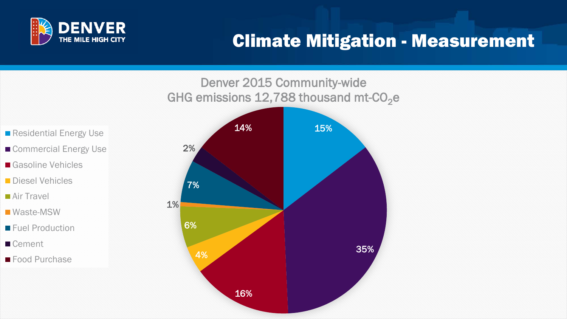

### Climate Mitigation - Measurement

#### Denver 2015 Community-wide GHG emissions 12,788 thousand mt- $CO<sub>2</sub>e$



- Residential Energy Use
- Commercial Energy Use
- Gasoline Vehicles
- **Diesel Vehicles**
- Air Travel
- Waste-MSW
- **Fuel Production**
- Cement
- Food Purchase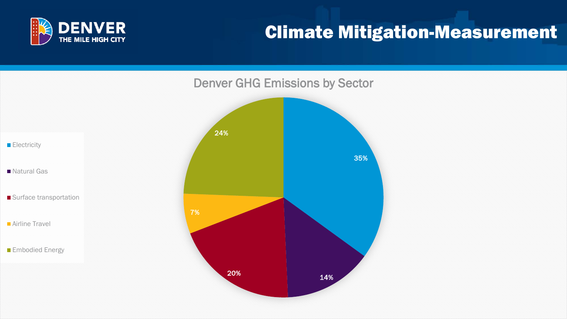

### Climate Mitigation-Measurement

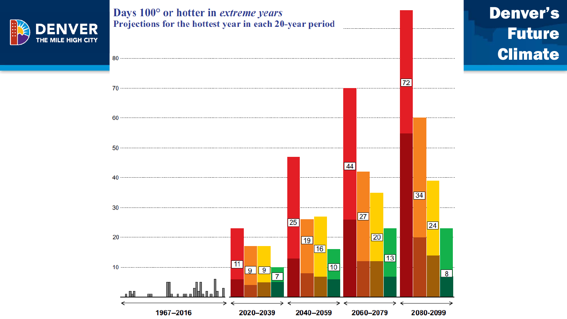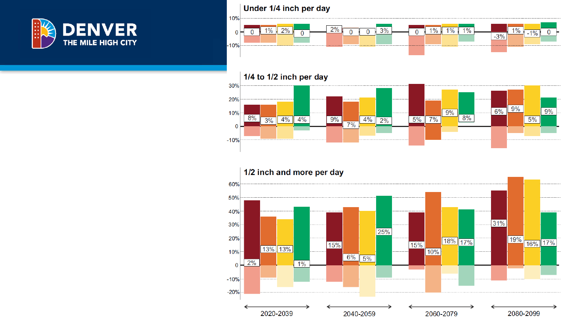